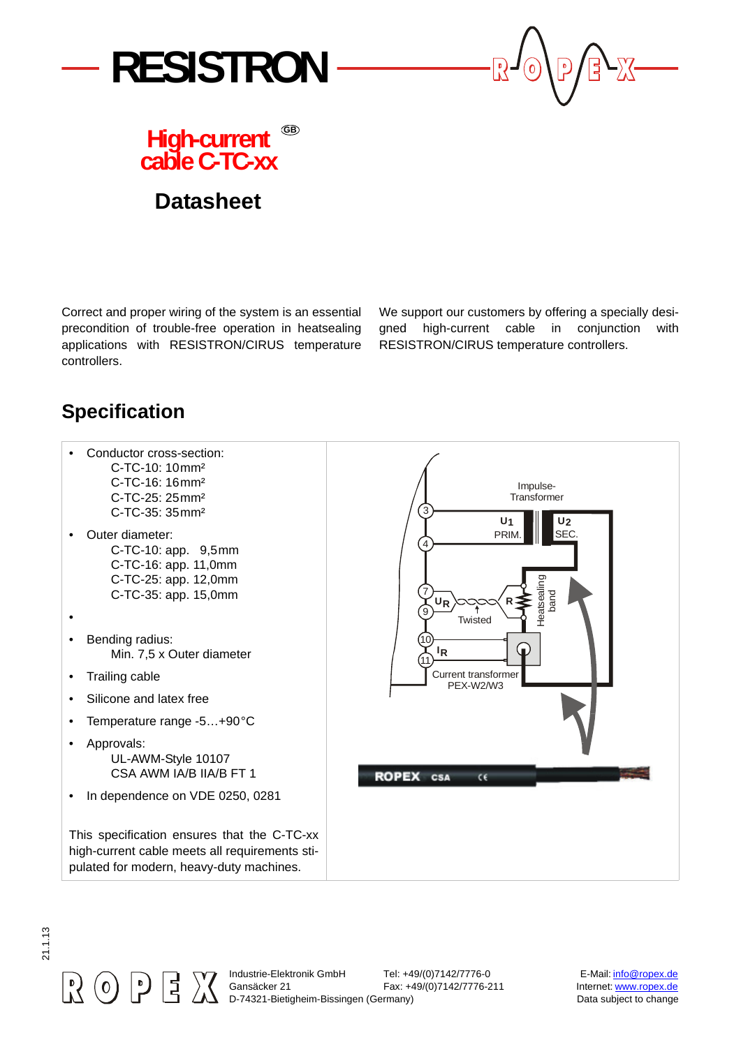



## **High-current cable C-TC-xx GB**

## **Datasheet**

Correct and proper wiring of the system is an essential precondition of trouble-free operation in heatsealing applications with RESISTRON/CIRUS temperature controllers.

We support our customers by offering a specially designed high-current cable in conjunction with RESISTRON/CIRUS temperature controllers.

## **Specification**

- Conductor cross-section:
	- C-TC-10: 10mm² C-TC-16: 16mm² C-TC-25: 25mm² C-TC-35: 35mm²
- Outer diameter: C-TC-10: app. 9,5mm C-TC-16: app. 11,0mm C-TC-25: app. 12,0mm C-TC-35: app. 15,0mm
- •
- Bending radius: Min. 7,5 x Outer diameter
- Trailing cable
- Silicone and latex free
- Temperature range -5…+90°C
- Approvals: UL-AWM-Style 10107 CSA AWM IA/B IIA/B FT 1
- In dependence on VDE 0250, 0281

This specification ensures that the C-TC-xx high-current cable meets all requirements stipulated for modern, heavy-duty machines.



21.1.13